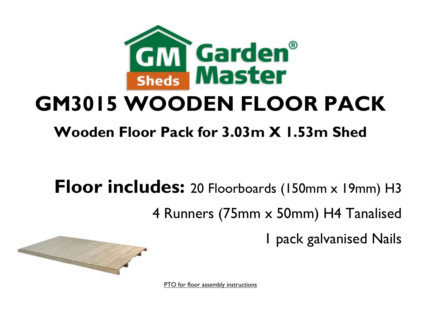

## **GM3015 WOODEN FLOOR PACK**

## **Wooden Floor Pack for 3.03m X 1.53m Shed**

**Floor includes:** 20 Floorboards (150mm x 19mm) H3 4 Runners (75mm x 50mm) H4 Tanalised 1 pack galvanised Nails



PTO for floor assembly instructions